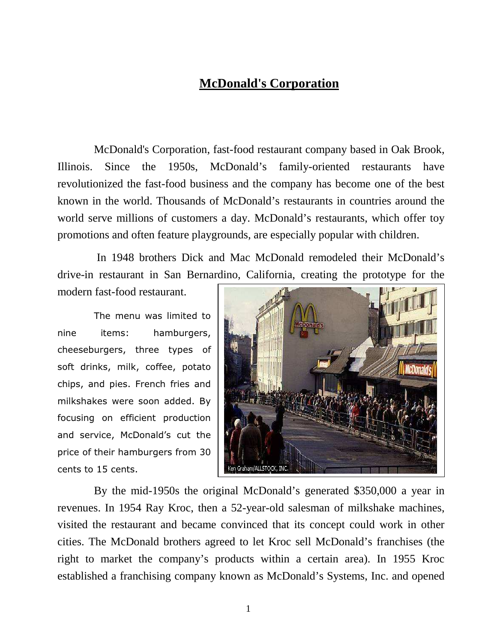## **McDonald's Corporation**

McDonald's Corporation, fast-food restaurant company based in Oak Brook, Illinois. Since the 1950s, McDonald's family-oriented restaurants have revolutionized the fast-food business and the company has become one of the best known in the world. Thousands of McDonald's restaurants in countries around the world serve millions of customers a day. McDonald's restaurants, which offer toy promotions and often feature playgrounds, are especially popular with children.

 In 1948 brothers Dick and Mac McDonald remodeled their McDonald's drive-in restaurant in San Bernardino, California, creating the prototype for the

modern fast-food restaurant.

The menu was limited to nine items: hamburgers, cheeseburgers, three types of soft drinks, milk, coffee, potato chips, and pies. French fries and milkshakes were soon added. By focusing on efficient production and service, McDonald's cut the price of their hamburgers from 30 cents to 15 cents.



By the mid-1950s the original McDonald's generated \$350,000 a year in revenues. In 1954 Ray Kroc, then a 52-year-old salesman of milkshake machines, visited the restaurant and became convinced that its concept could work in other cities. The McDonald brothers agreed to let Kroc sell McDonald's franchises (the right to market the company's products within a certain area). In 1955 Kroc established a franchising company known as McDonald's Systems, Inc. and opened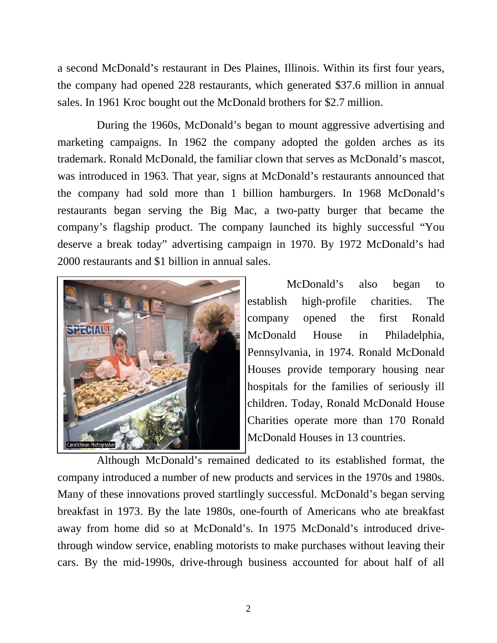a second McDonald's restaurant in Des Plaines, Illinois. Within its first four years, the company had opened 228 restaurants, which generated \$37.6 million in annual sales. In 1961 Kroc bought out the McDonald brothers for \$2.7 million.

 During the 1960s, McDonald's began to mount aggressive advertising and marketing campaigns. In 1962 the company adopted the golden arches as its trademark. Ronald McDonald, the familiar clown that serves as McDonald's mascot, was introduced in 1963. That year, signs at McDonald's restaurants announced that the company had sold more than 1 billion hamburgers. In 1968 McDonald's restaurants began serving the Big Mac, a two-patty burger that became the company's flagship product. The company launched its highly successful "You deserve a break today" advertising campaign in 1970. By 1972 McDonald's had 2000 restaurants and \$1 billion in annual sales.



 McDonald's also began to establish high-profile charities. The company opened the first Ronald McDonald House in Philadelphia, Pennsylvania, in 1974. Ronald McDonald Houses provide temporary housing near hospitals for the families of seriously ill children. Today, Ronald McDonald House Charities operate more than 170 Ronald McDonald Houses in 13 countries.

 Although McDonald's remained dedicated to its established format, the company introduced a number of new products and services in the 1970s and 1980s. Many of these innovations proved startlingly successful. McDonald's began serving breakfast in 1973. By the late 1980s, one-fourth of Americans who ate breakfast away from home did so at McDonald's. In 1975 McDonald's introduced drivethrough window service, enabling motorists to make purchases without leaving their cars. By the mid-1990s, drive-through business accounted for about half of all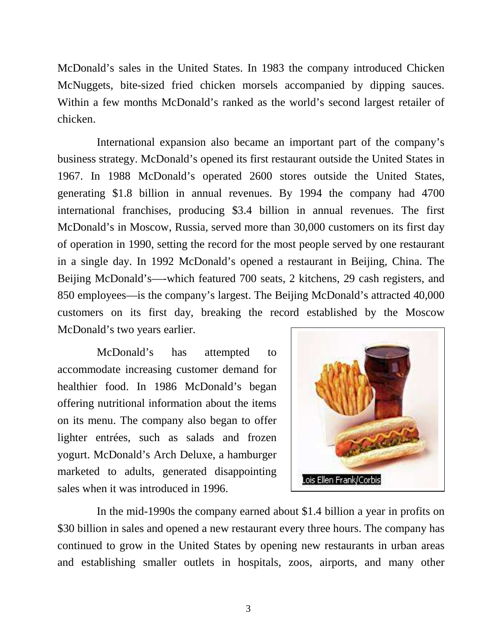McDonald's sales in the United States. In 1983 the company introduced Chicken McNuggets, bite-sized fried chicken morsels accompanied by dipping sauces. Within a few months McDonald's ranked as the world's second largest retailer of chicken.

 International expansion also became an important part of the company's business strategy. McDonald's opened its first restaurant outside the United States in 1967. In 1988 McDonald's operated 2600 stores outside the United States, generating \$1.8 billion in annual revenues. By 1994 the company had 4700 international franchises, producing \$3.4 billion in annual revenues. The first McDonald's in Moscow, Russia, served more than 30,000 customers on its first day of operation in 1990, setting the record for the most people served by one restaurant in a single day. In 1992 McDonald's opened a restaurant in Beijing, China. The Beijing McDonald's—-which featured 700 seats, 2 kitchens, 29 cash registers, and 850 employees—is the company's largest. The Beijing McDonald's attracted 40,000 customers on its first day, breaking the record established by the Moscow McDonald's two years earlier.

 McDonald's has attempted to accommodate increasing customer demand for healthier food. In 1986 McDonald's began offering nutritional information about the items on its menu. The company also began to offer lighter entrées, such as salads and frozen yogurt. McDonald's Arch Deluxe, a hamburger marketed to adults, generated disappointing sales when it was introduced in 1996.



 In the mid-1990s the company earned about \$1.4 billion a year in profits on \$30 billion in sales and opened a new restaurant every three hours. The company has continued to grow in the United States by opening new restaurants in urban areas and establishing smaller outlets in hospitals, zoos, airports, and many other